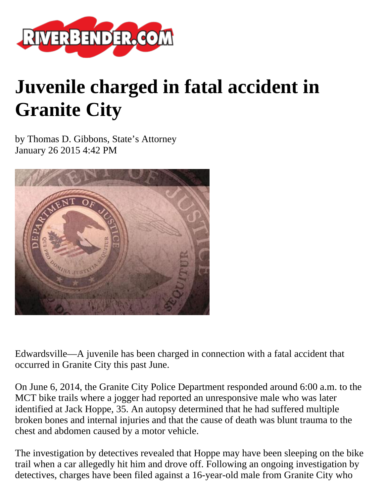

## **Juvenile charged in fatal accident in Granite City**

by Thomas D. Gibbons, State's Attorney January 26 2015 4:42 PM



Edwardsville—A juvenile has been charged in connection with a fatal accident that occurred in Granite City this past June.

On June 6, 2014, the Granite City Police Department responded around 6:00 a.m. to the MCT bike trails where a jogger had reported an unresponsive male who was later identified at Jack Hoppe, 35. An autopsy determined that he had suffered multiple broken bones and internal injuries and that the cause of death was blunt trauma to the chest and abdomen caused by a motor vehicle.

The investigation by detectives revealed that Hoppe may have been sleeping on the bike trail when a car allegedly hit him and drove off. Following an ongoing investigation by detectives, charges have been filed against a 16-year-old male from Granite City who